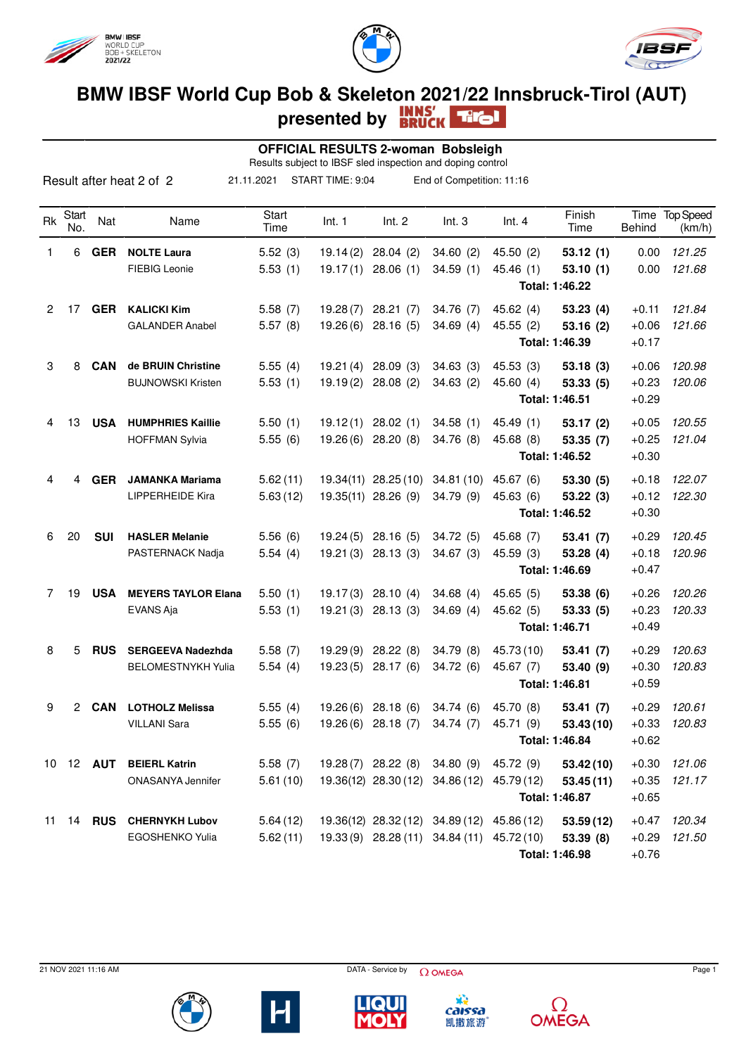





## **BMW IBSF World Cup Bob & Skeleton 2021/22 Innsbruck-Tirol (AUT) presented by**

| <b>OFFICIAL RESULTS 2-woman Bobsleigh</b><br>Results subject to IBSF sled inspection and doping control |              |                  |                            |               |           |                               |                                            |                           |                |         |                          |
|---------------------------------------------------------------------------------------------------------|--------------|------------------|----------------------------|---------------|-----------|-------------------------------|--------------------------------------------|---------------------------|----------------|---------|--------------------------|
| START TIME: 9:04<br>Result after heat 2 of 2<br>21.11.2021<br>End of Competition: 11:16                 |              |                  |                            |               |           |                               |                                            |                           |                |         |                          |
| Rk                                                                                                      | Start<br>No. | Nat              | Name                       | Start<br>Time | Int. 1    | Int. 2                        | Int.3                                      | Int.4                     | Finish<br>Time | Behind  | Time Top Speed<br>(km/h) |
| 1                                                                                                       | 6            | <b>GER</b>       | <b>NOLTE Laura</b>         | 5.52(3)       | 19.14(2)  | 28.04(2)                      | 34.60(2)                                   | 45.50 (2)                 | 53.12(1)       | 0.00    | 121.25                   |
|                                                                                                         |              |                  | <b>FIEBIG Leonie</b>       | 5.53(1)       |           | $19.17(1)$ 28.06 (1)          | 34.59(1)                                   | 45.46(1)                  | 53.10(1)       | 0.00    | 121.68                   |
|                                                                                                         |              |                  |                            |               |           |                               |                                            |                           | Total: 1:46.22 |         |                          |
| $\overline{2}$                                                                                          | 17           | <b>GER</b>       | <b>KALICKI Kim</b>         | 5.58(7)       | 19.28(7)  | 28.21(7)                      | 34.76 (7)                                  | 45.62(4)                  | 53.23(4)       | $+0.11$ | 121.84                   |
|                                                                                                         |              |                  | <b>GALANDER Anabel</b>     | 5.57(8)       |           | $19.26(6)$ 28.16 (5)          | 34.69(4)                                   | 45.55(2)                  | 53.16(2)       | $+0.06$ | 121.66                   |
|                                                                                                         |              |                  |                            |               |           |                               |                                            |                           | Total: 1:46.39 | $+0.17$ |                          |
| 3                                                                                                       | 8            | CAN              | de BRUIN Christine         | 5.55(4)       | 19.21 (4) | 28.09(3)                      | 34.63(3)                                   | 45.53(3)                  | 53.18(3)       | $+0.06$ | 120.98                   |
|                                                                                                         |              |                  | <b>BUJNOWSKI Kristen</b>   | 5.53(1)       | 19.19(2)  | 28.08(2)                      | 34.63(2)                                   | 45.60(4)                  | 53.33(5)       | $+0.23$ | 120.06                   |
|                                                                                                         |              |                  |                            |               |           |                               |                                            |                           | Total: 1:46.51 | $+0.29$ |                          |
| 4                                                                                                       | 13           | <b>USA</b>       | <b>HUMPHRIES Kaillie</b>   | 5.50(1)       |           | $19.12(1)$ 28.02 (1)          | 34.58(1)                                   | 45.49(1)                  | 53.17(2)       | $+0.05$ | 120.55                   |
|                                                                                                         |              |                  | <b>HOFFMAN Sylvia</b>      | 5.55(6)       |           | 19.26 (6) 28.20 (8)           | 34.76 (8)                                  | 45.68 (8)                 | 53.35(7)       | $+0.25$ | 121.04                   |
|                                                                                                         |              |                  |                            |               |           |                               |                                            |                           | Total: 1:46.52 | $+0.30$ |                          |
| 4                                                                                                       | 4            | <b>GER</b>       | <b>JAMANKA Mariama</b>     | 5.62(11)      |           | 19.34(11) 28.25(10)           | 34.81(10)                                  | 45.67(6)                  | 53.30(5)       | $+0.18$ | 122.07                   |
|                                                                                                         |              |                  | <b>LIPPERHEIDE Kira</b>    | 5.63(12)      |           | 19.35(11) 28.26 (9)           | 34.79(9)                                   | 45.63(6)                  | 53.22(3)       | $+0.12$ | 122.30                   |
|                                                                                                         |              |                  |                            |               |           |                               |                                            |                           | Total: 1:46.52 | $+0.30$ |                          |
| 6                                                                                                       | 20           | <b>SUI</b>       | <b>HASLER Melanie</b>      | 5.56(6)       |           | $19.24(5)$ 28.16 (5)          | 34.72(5)                                   | 45.68 (7)                 | 53.41(7)       | $+0.29$ | 120.45                   |
|                                                                                                         |              |                  | PASTERNACK Nadja           | 5.54(4)       | 19.21 (3) | 28.13(3)                      | 34.67(3)                                   | 45.59(3)                  | 53.28(4)       | $+0.18$ | 120.96                   |
|                                                                                                         |              |                  |                            |               |           |                               |                                            | Total: 1:46.69<br>$+0.47$ |                |         |                          |
| 7                                                                                                       | 19           | <b>USA</b>       | <b>MEYERS TAYLOR Elana</b> | 5.50(1)       | 19.17(3)  | 28.10(4)                      | 34.68(4)                                   | 45.65(5)                  | 53.38(6)       | $+0.26$ | 120.26                   |
|                                                                                                         |              |                  | <b>EVANS Aja</b>           | 5.53(1)       | 19.21(3)  | 28.13(3)                      | 34.69(4)                                   | 45.62(5)                  | 53.33(5)       | $+0.23$ | 120.33                   |
|                                                                                                         |              |                  |                            |               |           |                               |                                            |                           | Total: 1:46.71 | $+0.49$ |                          |
| 8                                                                                                       | 5            | <b>RUS</b>       | <b>SERGEEVA Nadezhda</b>   | 5.58(7)       |           | 19.29 (9) 28.22 (8)           | 34.79(8)                                   | 45.73 (10)                | 53.41(7)       | $+0.29$ | 120.63                   |
|                                                                                                         |              |                  | <b>BELOMESTNYKH Yulia</b>  | 5.54(4)       | 19.23(5)  | 28.17(6)                      | 34.72 (6)                                  | 45.67(7)                  | 53.40 (9)      | $+0.30$ | 120.83                   |
|                                                                                                         |              |                  |                            |               |           |                               |                                            |                           | Total: 1:46.81 | $+0.59$ |                          |
| 9                                                                                                       |              |                  | 2 CAN LOTHOLZ Melissa      | 5.55(4)       |           | 19.26 (6) 28.18 (6) 34.74 (6) |                                            | 45.70 (8)                 | 53.41(7)       | $+0.29$ | 120.61                   |
|                                                                                                         |              |                  | <b>VILLANI Sara</b>        | 5.55(6)       |           | 19.26 (6) 28.18 (7) 34.74 (7) |                                            | 45.71 (9)                 | 53.43(10)      | $+0.33$ | 120.83                   |
|                                                                                                         |              |                  |                            |               |           |                               |                                            |                           | Total: 1:46.84 | $+0.62$ |                          |
|                                                                                                         |              | 10 12 <b>AUT</b> | <b>BEIERL Katrin</b>       | 5.58(7)       |           | 19.28(7) 28.22 (8) 34.80 (9)  |                                            | 45.72 (9)                 | 53.42(10)      | $+0.30$ | 121.06                   |
|                                                                                                         |              |                  | ONASANYA Jennifer          | 5.61(10)      |           |                               | 19.36(12) 28.30 (12) 34.86 (12) 45.79 (12) |                           | 53.45(11)      | $+0.35$ | 121.17                   |
|                                                                                                         |              |                  |                            |               |           |                               |                                            |                           | Total: 1:46.87 | $+0.65$ |                          |
|                                                                                                         |              |                  | 11 14 RUS CHERNYKH Lubov   | 5.64(12)      |           |                               | 19.36(12) 28.32(12) 34.89(12) 45.86(12)    |                           | 53.59(12)      | $+0.47$ | 120.34                   |
|                                                                                                         |              |                  | <b>EGOSHENKO Yulia</b>     | 5.62(11)      |           |                               | 19.33 (9) 28.28 (11) 34.84 (11) 45.72 (10) |                           | 53.39(8)       | $+0.29$ | 121.50                   |
|                                                                                                         |              |                  |                            |               |           |                               |                                            |                           | Total: 1:46.98 | $+0.76$ |                          |

 $21$  NOV 2021 11:16 AM Page 1





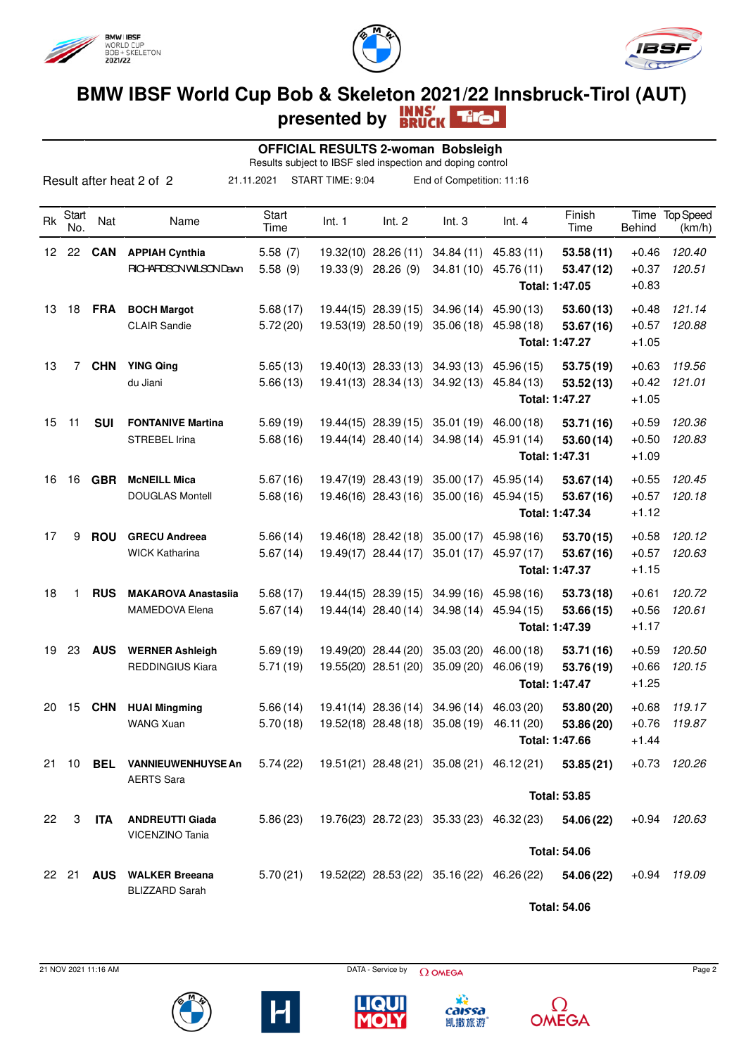





## **BMW IBSF World Cup Bob & Skeleton 2021/22 Innsbruck-Tirol (AUT) presented by**

|                 |              |            |                                                   |               | <b>OFFICIAL RESULTS 2-woman Bobsleigh</b><br>Results subject to IBSF sled inspection and doping control |                      |                                            |                                                       |                     |                       |                            |
|-----------------|--------------|------------|---------------------------------------------------|---------------|---------------------------------------------------------------------------------------------------------|----------------------|--------------------------------------------|-------------------------------------------------------|---------------------|-----------------------|----------------------------|
|                 |              |            | Result after heat 2 of 2                          | 21.11.2021    | START TIME: 9:04                                                                                        |                      | End of Competition: 11:16                  |                                                       |                     |                       |                            |
| Rk              | Start<br>No. | Nat        | Name                                              | Start<br>Time | Int. 1                                                                                                  | Int. 2               | Int.3                                      | Int.4                                                 | Finish<br>Time      | Time<br><b>Behind</b> | <b>Top Speed</b><br>(km/h) |
| 12 <sup>2</sup> | 22           | <b>CAN</b> | <b>APPIAH Cynthia</b>                             | 5.58(7)       |                                                                                                         | 19.32(10) 28.26 (11) |                                            | 34.84 (11) 45.83 (11)                                 | 53.58(11)           | $+0.46$               | 120.40                     |
|                 |              |            | <b>RICHARDSON WILSON Dawn</b>                     | 5.58(9)       |                                                                                                         | 19.33 (9) 28.26 (9)  | 34.81(10)                                  | 45.76 (11)                                            | 53.47(12)           | $+0.37$               | 120.51                     |
|                 |              |            |                                                   |               |                                                                                                         |                      |                                            |                                                       | Total: 1:47.05      | $+0.83$               |                            |
| 13              | 18           | <b>FRA</b> | <b>BOCH Margot</b>                                | 5.68(17)      |                                                                                                         | 19.44(15) 28.39(15)  | 34.96(14)                                  | 45.90 (13)                                            | 53.60(13)           | $+0.48$               | 121.14                     |
|                 |              |            | <b>CLAIR Sandie</b>                               | 5.72(20)      |                                                                                                         | 19.53(19) 28.50(19)  | 35.06(18)                                  | 45.98 (18)                                            | 53.67(16)           | $+0.57$               | 120.88                     |
|                 |              |            |                                                   |               |                                                                                                         |                      |                                            |                                                       | Total: 1:47.27      | $+1.05$               |                            |
| 13              | 7            | <b>CHN</b> | <b>YING Qing</b>                                  | 5.65(13)      |                                                                                                         | 19.40(13) 28.33 (13) | 34.93(13)                                  | 45.96 (15)                                            | 53.75(19)           | $+0.63$               | 119.56                     |
|                 |              |            | du Jiani                                          | 5.66(13)      |                                                                                                         | 19.41(13) 28.34(13)  | 34.92(13)                                  | 45.84 (13)                                            | 53.52(13)           | $+0.42$               | 121.01                     |
|                 |              |            |                                                   |               |                                                                                                         |                      |                                            |                                                       | Total: 1:47.27      | $+1.05$               |                            |
| 15              | 11           | <b>SUI</b> | <b>FONTANIVE Martina</b>                          | 5.69(19)      |                                                                                                         | 19.44(15) 28.39(15)  | 35.01(19)                                  | 46.00 (18)                                            | 53.71 (16)          | $+0.59$               | 120.36                     |
|                 |              |            | <b>STREBEL Irina</b>                              | 5.68(16)      |                                                                                                         | 19.44(14) 28.40(14)  | 34.98(14)                                  | 45.91 (14)                                            | 53.60 (14)          | $+0.50$               | 120.83                     |
|                 |              |            |                                                   |               |                                                                                                         |                      |                                            |                                                       | Total: 1:47.31      | $+1.09$               |                            |
| 16              | 16           | <b>GBR</b> | <b>McNEILL Mica</b>                               | 5.67(16)      |                                                                                                         | 19.47(19) 28.43 (19) | 35.00(17)                                  | 45.95 (14)                                            | 53.67(14)           | $+0.55$               | 120.45                     |
|                 |              |            | <b>DOUGLAS Montell</b>                            | 5.68(16)      |                                                                                                         | 19.46(16) 28.43(16)  | 35.00(16)                                  | 45.94 (15)                                            | 53.67(16)           | $+0.57$               | 120.18                     |
|                 |              |            |                                                   |               |                                                                                                         |                      |                                            |                                                       | Total: 1:47.34      | $+1.12$               |                            |
| 17              | 9            | <b>ROU</b> | <b>GRECU Andreea</b>                              | 5.66(14)      |                                                                                                         | 19.46(18) 28.42(18)  | 35.00(17)                                  | 45.98 (16)                                            | 53.70 (15)          | $+0.58$               | 120.12                     |
|                 |              |            | <b>WICK Katharina</b>                             | 5.67(14)      |                                                                                                         | 19.49(17) 28.44 (17) | 35.01(17)                                  | 45.97 (17)                                            | 53.67(16)           | $+0.57$               | 120.63                     |
|                 |              |            |                                                   |               |                                                                                                         |                      |                                            |                                                       | Total: 1:47.37      | $+1.15$               |                            |
| 18              | 1            | <b>RUS</b> | <b>MAKAROVA Anastasiia</b>                        | 5.68(17)      |                                                                                                         | 19.44(15) 28.39(15)  | 34.99(16)                                  | 45.98 (16)                                            | 53.73 (18)          | $+0.61$               | 120.72                     |
|                 |              |            | <b>MAMEDOVA Elena</b>                             | 5.67(14)      |                                                                                                         | 19.44(14) 28.40(14)  | 34.98(14)                                  | 45.94 (15)                                            | 53.66 (15)          | $+0.56$               | 120.61                     |
|                 |              |            |                                                   |               |                                                                                                         |                      |                                            |                                                       | Total: 1:47.39      | $+1.17$               |                            |
| 19              | 23           | <b>AUS</b> | <b>WERNER Ashleigh</b>                            | 5.69(19)      |                                                                                                         | 19.49(20) 28.44 (20) | 35.03(20)                                  | 46.00(18)                                             | 53.71 (16)          | $+0.59$               | 120.50                     |
|                 |              |            | <b>REDDINGIUS Kiara</b>                           | 5.71(19)      |                                                                                                         | 19.55(20) 28.51 (20) | 35.09(20)                                  | 46.06 (19)                                            | 53.76 (19)          | $+0.66$               | 120.15                     |
|                 |              |            |                                                   |               |                                                                                                         |                      |                                            |                                                       | Total: 1:47.47      | $+1.25$               |                            |
|                 |              |            | 20 15 CHN HUAI Mingming                           | 5.66(14)      |                                                                                                         |                      | 19.41(14) 28.36(14) 34.96(14) 46.03(20)    |                                                       | 53.80 (20)          | $+0.68$               | 119.17                     |
|                 |              |            | <b>WANG Xuan</b>                                  | 5.70(18)      |                                                                                                         |                      | 19.52(18) 28.48 (18) 35.08 (19) 46.11 (20) |                                                       | 53.86 (20)          | $+0.76$               | 119.87                     |
|                 |              |            |                                                   |               |                                                                                                         |                      |                                            |                                                       | Total: 1:47.66      | $+1.44$               |                            |
|                 |              |            | 21 10 BEL VANNIEUWENHUYSE An                      |               |                                                                                                         |                      |                                            | $5.74(22)$ 19.51(21) 28.48(21) 35.08(21) 46.12(21)    | 53.85(21)           | $+0.73$               | 120.26                     |
|                 |              |            | <b>AERTS Sara</b>                                 |               |                                                                                                         |                      |                                            |                                                       |                     |                       |                            |
|                 |              |            |                                                   |               |                                                                                                         |                      |                                            |                                                       | <b>Total: 53.85</b> |                       |                            |
| 22              | 3            | ITA        | <b>ANDREUTTI Giada</b>                            | 5.86(23)      |                                                                                                         |                      |                                            | 19.76(23) 28.72 (23) 35.33 (23) 46.32 (23)            | 54.06 (22)          |                       | $+0.94$ 120.63             |
|                 |              |            | VICENZINO Tania                                   |               |                                                                                                         |                      |                                            |                                                       |                     |                       |                            |
|                 |              |            |                                                   |               |                                                                                                         |                      |                                            |                                                       | <b>Total: 54.06</b> |                       |                            |
|                 |              |            | 22 21 AUS WALKER Breeana<br><b>BLIZZARD Sarah</b> |               |                                                                                                         |                      |                                            | 5.70 (21) 19.52 (22) 28.53 (22) 35.16 (22) 46.26 (22) | 54.06 (22)          |                       | $+0.94$ 119.09             |

**Total: 54.06**





 $21$  NOV 2021 11:16 AM Page 2